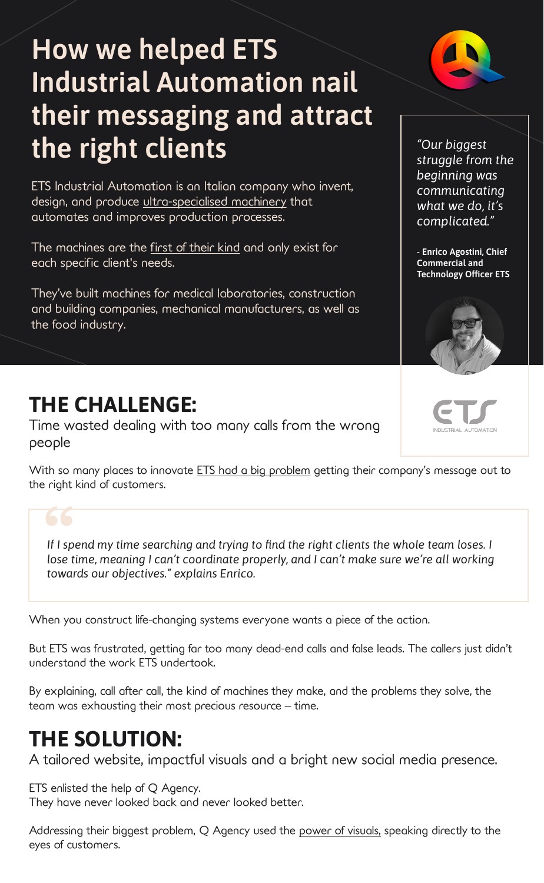## **How we helped ETS Industrial Automation nail their messaging and attract the right clients**

ETS Industrial Automation is an Italian company who invent, design, and produce ultra-specialised machinery that automates and improves production processes.

The machines are the first of their kind and only exist for each specific client's needs.

They've built machines for medical laboratories, construction and building companies, mechanical manufacturers, as well as the food industry.

*"Our biggest struggle from the beginning was communicating what we do, it's complicated."*

**- Enrico Agostini, Chief Commercial and Technology Officer ETS**



## **THE CHALLENGE:**

Time wasted dealing with too many calls from the wrong people

With so many places to innovate ETS had a big problem getting their company's message out to the right kind of customers.



When you construct life-changing systems everyone wants a piece of the action.

But ETS was frustrated, getting far too many dead-end calls and false leads. The callers just didn't understand the work ETS undertook.

By explaining, call after call, the kind of machines they make, and the problems they solve, the team was exhausting their most precious resource – time.

## **THE SOLUTION:**

A tailored website, impactful visuals and a bright new social media presence.

ETS enlisted the help of Q Agency. They have never looked back and never looked better.

Addressing their biggest problem, Q Agency used the power of visuals, speaking directly to the eyes of customers.